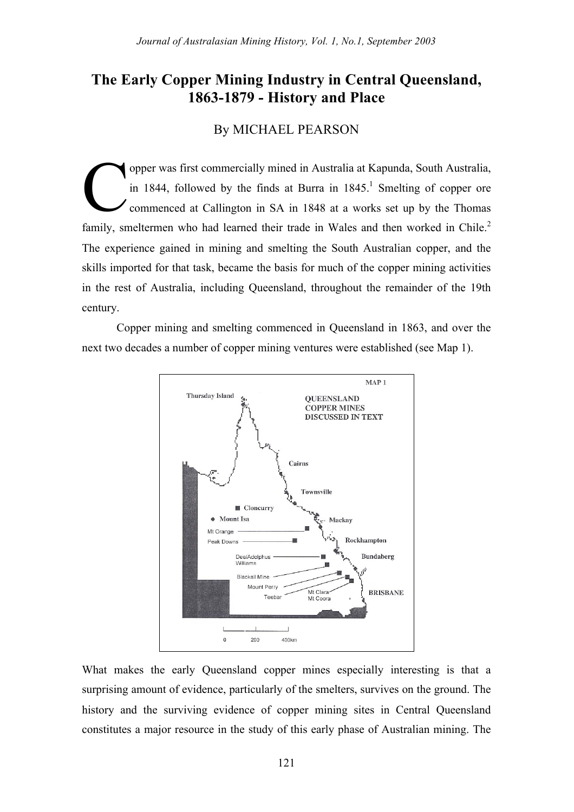# **The Early Copper Mining Industry in Central Queensland, 1863-1879 - History and Place**

# By MICHAEL PEARSON

opper was first commercially mined in Australia at Kapunda, South Australia, in 1844, followed by the finds at Burra in  $1845$ .<sup>1</sup> Smelting of copper ore commenced at Callington in SA in 1848 at a works set up by the Thomas family, smeltermen who had learned their trade in Wales and then worked in Chile.<sup>2</sup> The experience gained in mining and smelting the South Australian copper, and the skills imported for that task, became the basis for much of the copper mining activities in the rest of Australia, including Queensland, throughout the remainder of the 19th century. C

Copper mining and smelting commenced in Queensland in 1863, and over the next two decades a number of copper mining ventures were established (see Map 1).



What makes the early Queensland copper mines especially interesting is that a surprising amount of evidence, particularly of the smelters, survives on the ground. The history and the surviving evidence of copper mining sites in Central Queensland constitutes a major resource in the study of this early phase of Australian mining. The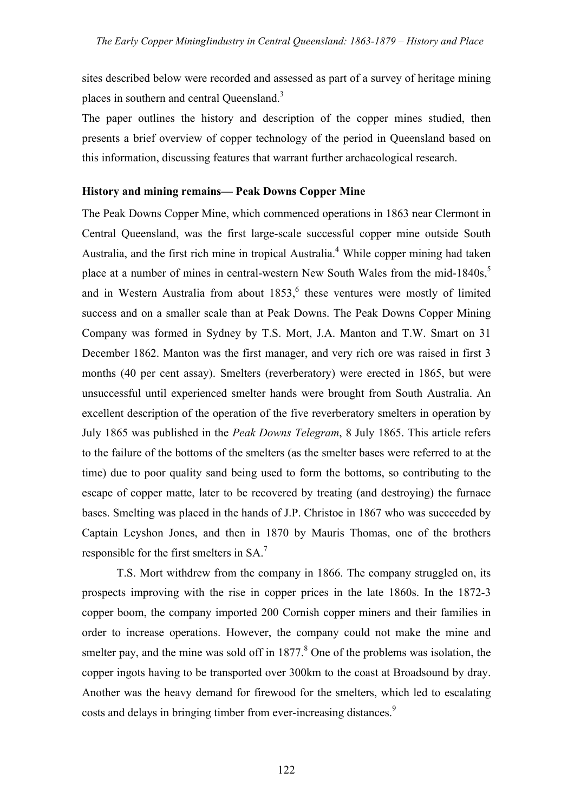sites described below were recorded and assessed as part of a survey of heritage mining places in southern and central Queensland.<sup>3</sup>

The paper outlines the history and description of the copper mines studied, then presents a brief overview of copper technology of the period in Queensland based on this information, discussing features that warrant further archaeological research.

## **History and mining remains— Peak Downs Copper Mine**

The Peak Downs Copper Mine, which commenced operations in 1863 near Clermont in Central Queensland, was the first large-scale successful copper mine outside South Australia, and the first rich mine in tropical Australia.<sup>4</sup> While copper mining had taken place at a number of mines in central-western New South Wales from the mid-1840s,<sup>5</sup> and in Western Australia from about  $1853<sup>6</sup>$  these ventures were mostly of limited success and on a smaller scale than at Peak Downs. The Peak Downs Copper Mining Company was formed in Sydney by T.S. Mort, J.A. Manton and T.W. Smart on 31 December 1862. Manton was the first manager, and very rich ore was raised in first 3 months (40 per cent assay). Smelters (reverberatory) were erected in 1865, but were unsuccessful until experienced smelter hands were brought from South Australia. An excellent description of the operation of the five reverberatory smelters in operation by July 1865 was published in the *Peak Downs Telegram*, 8 July 1865. This article refers to the failure of the bottoms of the smelters (as the smelter bases were referred to at the time) due to poor quality sand being used to form the bottoms, so contributing to the escape of copper matte, later to be recovered by treating (and destroying) the furnace bases. Smelting was placed in the hands of J.P. Christoe in 1867 who was succeeded by Captain Leyshon Jones, and then in 1870 by Mauris Thomas, one of the brothers responsible for the first smelters in SA.<sup>7</sup>

T.S. Mort withdrew from the company in 1866. The company struggled on, its prospects improving with the rise in copper prices in the late 1860s. In the 1872-3 copper boom, the company imported 200 Cornish copper miners and their families in order to increase operations. However, the company could not make the mine and smelter pay, and the mine was sold off in  $1877<sup>8</sup>$  One of the problems was isolation, the copper ingots having to be transported over 300km to the coast at Broadsound by dray. Another was the heavy demand for firewood for the smelters, which led to escalating costs and delays in bringing timber from ever-increasing distances.<sup>9</sup>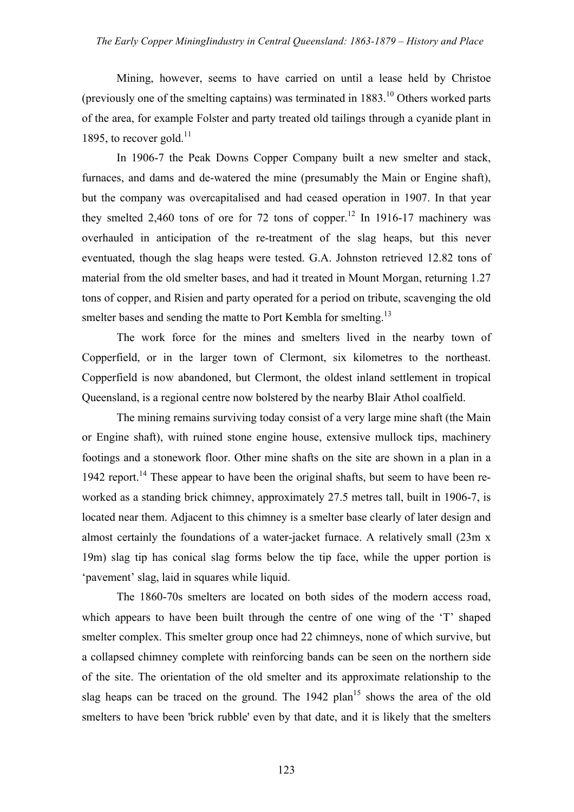Mining, however, seems to have carried on until a lease held by Christoe (previously one of the smelting captains) was terminated in  $1883$ <sup>10</sup> Others worked parts of the area, for example Folster and party treated old tailings through a cyanide plant in 1895, to recover gold. $11$ 

In 1906-7 the Peak Downs Copper Company built a new smelter and stack, furnaces, and dams and de-watered the mine (presumably the Main or Engine shaft), but the company was overcapitalised and had ceased operation in 1907. In that year they smelted 2,460 tons of ore for 72 tons of copper.<sup>12</sup> In 1916-17 machinery was overhauled in anticipation of the re-treatment of the slag heaps, but this never eventuated, though the slag heaps were tested. G.A. Johnston retrieved 12.82 tons of material from the old smelter bases, and had it treated in Mount Morgan, returning 1.27 tons of copper, and Risien and party operated for a period on tribute, scavenging the old smelter bases and sending the matte to Port Kembla for smelting.<sup>13</sup>

The work force for the mines and smelters lived in the nearby town of Copperfield, or in the larger town of Clermont, six kilometres to the northeast. Copperfield is now abandoned, but Clermont, the oldest inland settlement in tropical Queensland, is a regional centre now bolstered by the nearby Blair Athol coalfield.

The mining remains surviving today consist of a very large mine shaft (the Main or Engine shaft), with ruined stone engine house, extensive mullock tips, machinery footings and a stonework floor. Other mine shafts on the site are shown in a plan in a 1942 report.<sup>14</sup> These appear to have been the original shafts, but seem to have been reworked as a standing brick chimney, approximately 27.5 metres tall, built in 1906-7, is located near them. Adjacent to this chimney is a smelter base clearly of later design and almost certainly the foundations of a water-jacket furnace. A relatively small (23m x 19m) slag tip has conical slag forms below the tip face, while the upper portion is 'pavement' slag, laid in squares while liquid.

The 1860-70s smelters are located on both sides of the modern access road, which appears to have been built through the centre of one wing of the 'T' shaped smelter complex. This smelter group once had 22 chimneys, none of which survive, but a collapsed chimney complete with reinforcing bands can be seen on the northern side of the site. The orientation of the old smelter and its approximate relationship to the slag heaps can be traced on the ground. The  $1942$  plan<sup>15</sup> shows the area of the old smelters to have been 'brick rubble' even by that date, and it is likely that the smelters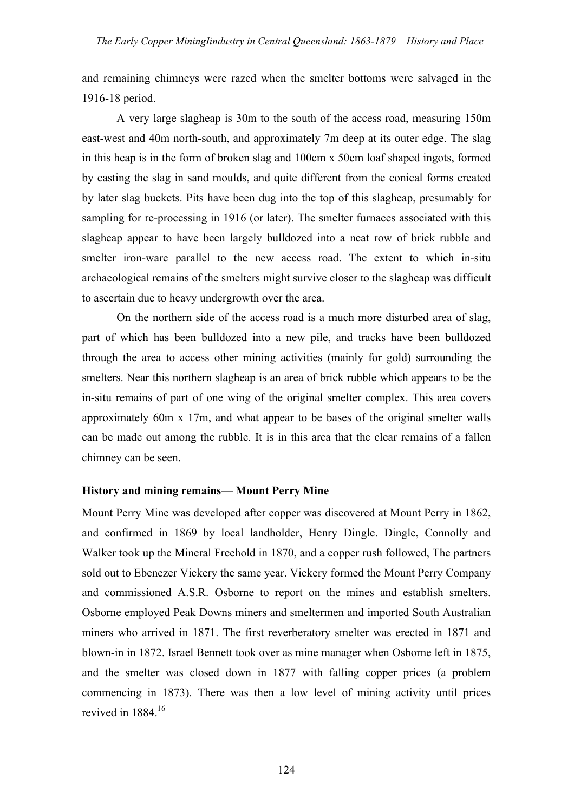and remaining chimneys were razed when the smelter bottoms were salvaged in the 1916-18 period.

A very large slagheap is 30m to the south of the access road, measuring 150m east-west and 40m north-south, and approximately 7m deep at its outer edge. The slag in this heap is in the form of broken slag and 100cm x 50cm loaf shaped ingots, formed by casting the slag in sand moulds, and quite different from the conical forms created by later slag buckets. Pits have been dug into the top of this slagheap, presumably for sampling for re-processing in 1916 (or later). The smelter furnaces associated with this slagheap appear to have been largely bulldozed into a neat row of brick rubble and smelter iron-ware parallel to the new access road. The extent to which in-situ archaeological remains of the smelters might survive closer to the slagheap was difficult to ascertain due to heavy undergrowth over the area.

On the northern side of the access road is a much more disturbed area of slag, part of which has been bulldozed into a new pile, and tracks have been bulldozed through the area to access other mining activities (mainly for gold) surrounding the smelters. Near this northern slagheap is an area of brick rubble which appears to be the in-situ remains of part of one wing of the original smelter complex. This area covers approximately 60m x 17m, and what appear to be bases of the original smelter walls can be made out among the rubble. It is in this area that the clear remains of a fallen chimney can be seen.

# **History and mining remains— Mount Perry Mine**

Mount Perry Mine was developed after copper was discovered at Mount Perry in 1862, and confirmed in 1869 by local landholder, Henry Dingle. Dingle, Connolly and Walker took up the Mineral Freehold in 1870, and a copper rush followed, The partners sold out to Ebenezer Vickery the same year. Vickery formed the Mount Perry Company and commissioned A.S.R. Osborne to report on the mines and establish smelters. Osborne employed Peak Downs miners and smeltermen and imported South Australian miners who arrived in 1871. The first reverberatory smelter was erected in 1871 and blown-in in 1872. Israel Bennett took over as mine manager when Osborne left in 1875, and the smelter was closed down in 1877 with falling copper prices (a problem commencing in 1873). There was then a low level of mining activity until prices revived in 1884<sup>16</sup>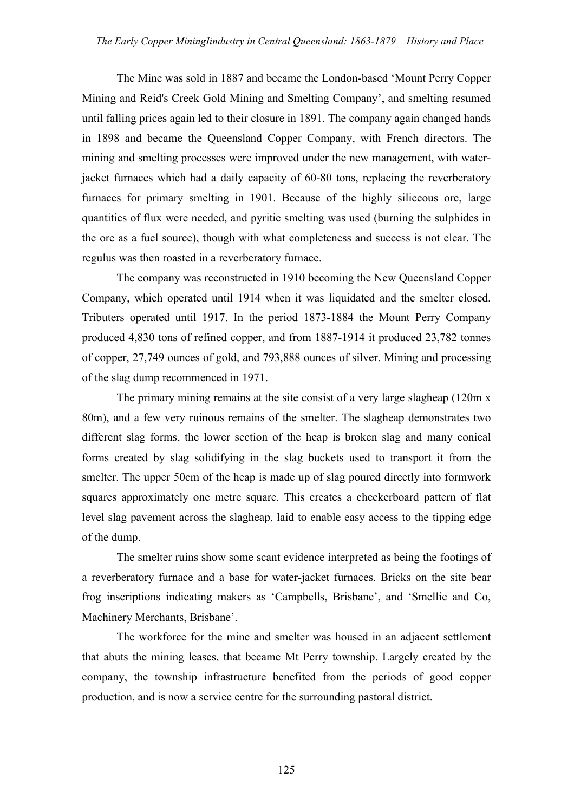The Mine was sold in 1887 and became the London-based 'Mount Perry Copper Mining and Reid's Creek Gold Mining and Smelting Company', and smelting resumed until falling prices again led to their closure in 1891. The company again changed hands in 1898 and became the Queensland Copper Company, with French directors. The mining and smelting processes were improved under the new management, with waterjacket furnaces which had a daily capacity of 60-80 tons, replacing the reverberatory furnaces for primary smelting in 1901. Because of the highly siliceous ore, large quantities of flux were needed, and pyritic smelting was used (burning the sulphides in the ore as a fuel source), though with what completeness and success is not clear. The regulus was then roasted in a reverberatory furnace.

The company was reconstructed in 1910 becoming the New Queensland Copper Company, which operated until 1914 when it was liquidated and the smelter closed. Tributers operated until 1917. In the period 1873-1884 the Mount Perry Company produced 4,830 tons of refined copper, and from 1887-1914 it produced 23,782 tonnes of copper, 27,749 ounces of gold, and 793,888 ounces of silver. Mining and processing of the slag dump recommenced in 1971.

The primary mining remains at the site consist of a very large slagheap (120m x 80m), and a few very ruinous remains of the smelter. The slagheap demonstrates two different slag forms, the lower section of the heap is broken slag and many conical forms created by slag solidifying in the slag buckets used to transport it from the smelter. The upper 50cm of the heap is made up of slag poured directly into formwork squares approximately one metre square. This creates a checkerboard pattern of flat level slag pavement across the slagheap, laid to enable easy access to the tipping edge of the dump.

The smelter ruins show some scant evidence interpreted as being the footings of a reverberatory furnace and a base for water-jacket furnaces. Bricks on the site bear frog inscriptions indicating makers as 'Campbells, Brisbane', and 'Smellie and Co, Machinery Merchants, Brisbane'.

The workforce for the mine and smelter was housed in an adjacent settlement that abuts the mining leases, that became Mt Perry township. Largely created by the company, the township infrastructure benefited from the periods of good copper production, and is now a service centre for the surrounding pastoral district.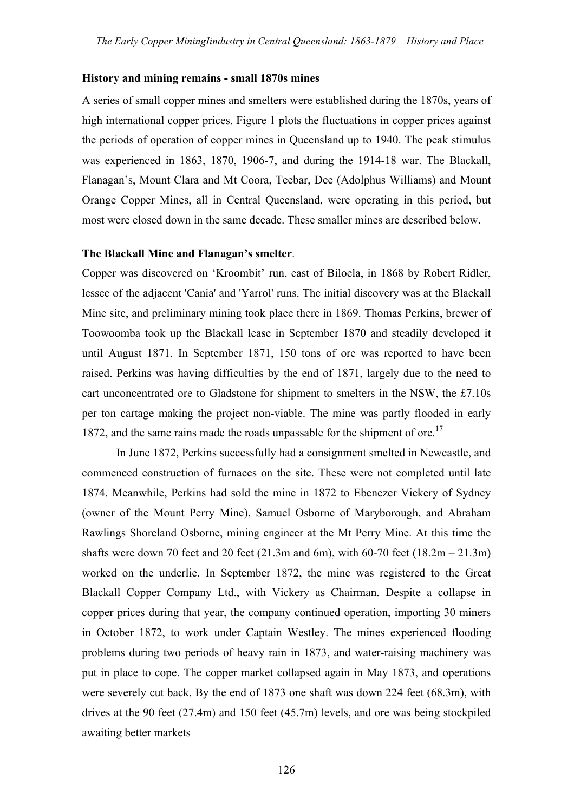#### **History and mining remains - small 1870s mines**

A series of small copper mines and smelters were established during the 1870s, years of high international copper prices. Figure 1 plots the fluctuations in copper prices against the periods of operation of copper mines in Queensland up to 1940. The peak stimulus was experienced in 1863, 1870, 1906-7, and during the 1914-18 war. The Blackall, Flanagan's, Mount Clara and Mt Coora, Teebar, Dee (Adolphus Williams) and Mount Orange Copper Mines, all in Central Queensland, were operating in this period, but most were closed down in the same decade. These smaller mines are described below.

#### **The Blackall Mine and Flanagan's smelter**.

Copper was discovered on 'Kroombit' run, east of Biloela, in 1868 by Robert Ridler, lessee of the adjacent 'Cania' and 'Yarrol' runs. The initial discovery was at the Blackall Mine site, and preliminary mining took place there in 1869. Thomas Perkins, brewer of Toowoomba took up the Blackall lease in September 1870 and steadily developed it until August 1871. In September 1871, 150 tons of ore was reported to have been raised. Perkins was having difficulties by the end of 1871, largely due to the need to cart unconcentrated ore to Gladstone for shipment to smelters in the NSW, the £7.10s per ton cartage making the project non-viable. The mine was partly flooded in early 1872, and the same rains made the roads unpassable for the shipment of ore.<sup>17</sup>

In June 1872, Perkins successfully had a consignment smelted in Newcastle, and commenced construction of furnaces on the site. These were not completed until late 1874. Meanwhile, Perkins had sold the mine in 1872 to Ebenezer Vickery of Sydney (owner of the Mount Perry Mine), Samuel Osborne of Maryborough, and Abraham Rawlings Shoreland Osborne, mining engineer at the Mt Perry Mine. At this time the shafts were down 70 feet and 20 feet  $(21.3m$  and 6m), with 60-70 feet  $(18.2m - 21.3m)$ worked on the underlie. In September 1872, the mine was registered to the Great Blackall Copper Company Ltd., with Vickery as Chairman. Despite a collapse in copper prices during that year, the company continued operation, importing 30 miners in October 1872, to work under Captain Westley. The mines experienced flooding problems during two periods of heavy rain in 1873, and water-raising machinery was put in place to cope. The copper market collapsed again in May 1873, and operations were severely cut back. By the end of 1873 one shaft was down 224 feet (68.3m), with drives at the 90 feet (27.4m) and 150 feet (45.7m) levels, and ore was being stockpiled awaiting better markets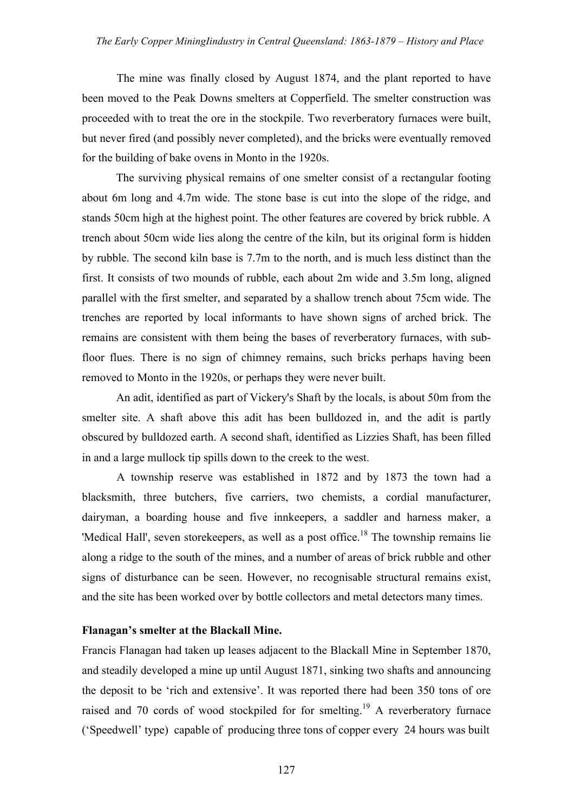The mine was finally closed by August 1874, and the plant reported to have been moved to the Peak Downs smelters at Copperfield. The smelter construction was proceeded with to treat the ore in the stockpile. Two reverberatory furnaces were built, but never fired (and possibly never completed), and the bricks were eventually removed for the building of bake ovens in Monto in the 1920s.

The surviving physical remains of one smelter consist of a rectangular footing about 6m long and 4.7m wide. The stone base is cut into the slope of the ridge, and stands 50cm high at the highest point. The other features are covered by brick rubble. A trench about 50cm wide lies along the centre of the kiln, but its original form is hidden by rubble. The second kiln base is 7.7m to the north, and is much less distinct than the first. It consists of two mounds of rubble, each about 2m wide and 3.5m long, aligned parallel with the first smelter, and separated by a shallow trench about 75cm wide. The trenches are reported by local informants to have shown signs of arched brick. The remains are consistent with them being the bases of reverberatory furnaces, with subfloor flues. There is no sign of chimney remains, such bricks perhaps having been removed to Monto in the 1920s, or perhaps they were never built.

An adit, identified as part of Vickery's Shaft by the locals, is about 50m from the smelter site. A shaft above this adit has been bulldozed in, and the adit is partly obscured by bulldozed earth. A second shaft, identified as Lizzies Shaft, has been filled in and a large mullock tip spills down to the creek to the west.

A township reserve was established in 1872 and by 1873 the town had a blacksmith, three butchers, five carriers, two chemists, a cordial manufacturer, dairyman, a boarding house and five innkeepers, a saddler and harness maker, a 'Medical Hall', seven storekeepers, as well as a post office.<sup>18</sup> The township remains lie along a ridge to the south of the mines, and a number of areas of brick rubble and other signs of disturbance can be seen. However, no recognisable structural remains exist, and the site has been worked over by bottle collectors and metal detectors many times.

## **Flanagan's smelter at the Blackall Mine.**

Francis Flanagan had taken up leases adjacent to the Blackall Mine in September 1870, and steadily developed a mine up until August 1871, sinking two shafts and announcing the deposit to be 'rich and extensive'. It was reported there had been 350 tons of ore raised and 70 cords of wood stockpiled for for smelting.<sup>19</sup> A reverberatory furnace ('Speedwell' type) capable of producing three tons of copper every 24 hours was built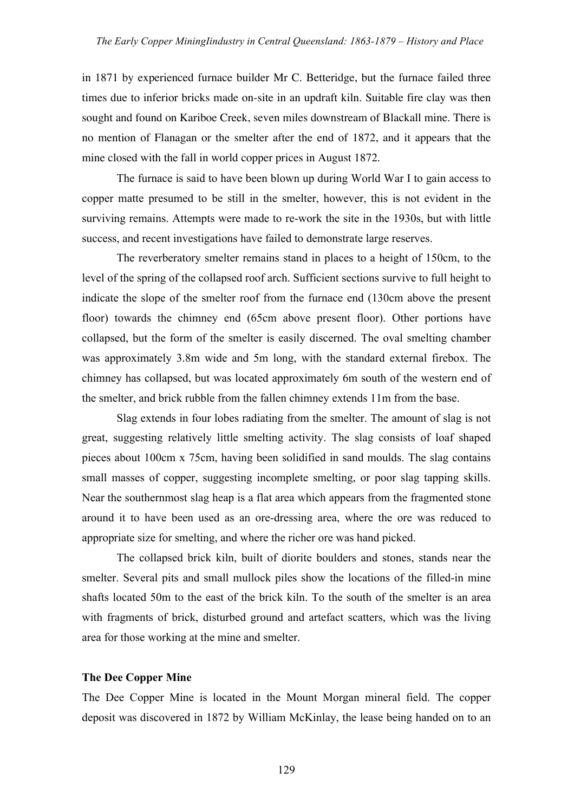in 1871 by experienced furnace builder Mr C. Betteridge, but the furnace failed three times due to inferior bricks made on-site in an updraft kiln. Suitable fire clay was then sought and found on Kariboe Creek, seven miles downstream of Blackall mine. There is no mention of Flanagan or the smelter after the end of 1872, and it appears that the mine closed with the fall in world copper prices in August 1872.

The furnace is said to have been blown up during World War I to gain access to copper matte presumed to be still in the smelter, however, this is not evident in the surviving remains. Attempts were made to re-work the site in the 1930s, but with little success, and recent investigations have failed to demonstrate large reserves.

The reverberatory smelter remains stand in places to a height of 150cm, to the level of the spring of the collapsed roof arch. Sufficient sections survive to full height to indicate the slope of the smelter roof from the furnace end (130cm above the present floor) towards the chimney end (65cm above present floor). Other portions have collapsed, but the form of the smelter is easily discerned. The oval smelting chamber was approximately 3.8m wide and 5m long, with the standard external firebox. The chimney has collapsed, but was located approximately 6m south of the western end of the smelter, and brick rubble from the fallen chimney extends 11m from the base.

Slag extends in four lobes radiating from the smelter. The amount of slag is not great, suggesting relatively little smelting activity. The slag consists of loaf shaped pieces about 100cm x 75cm, having been solidified in sand moulds. The slag contains small masses of copper, suggesting incomplete smelting, or poor slag tapping skills. Near the southernmost slag heap is a flat area which appears from the fragmented stone around it to have been used as an ore-dressing area, where the ore was reduced to appropriate size for smelting, and where the richer ore was hand picked.

The collapsed brick kiln, built of diorite boulders and stones, stands near the smelter. Several pits and small mullock piles show the locations of the filled-in mine shafts located 50m to the east of the brick kiln. To the south of the smelter is an area with fragments of brick, disturbed ground and artefact scatters, which was the living area for those working at the mine and smelter.

#### **The Dee Copper Mine**

The Dee Copper Mine is located in the Mount Morgan mineral field. The copper deposit was discovered in 1872 by William McKinlay, the lease being handed on to an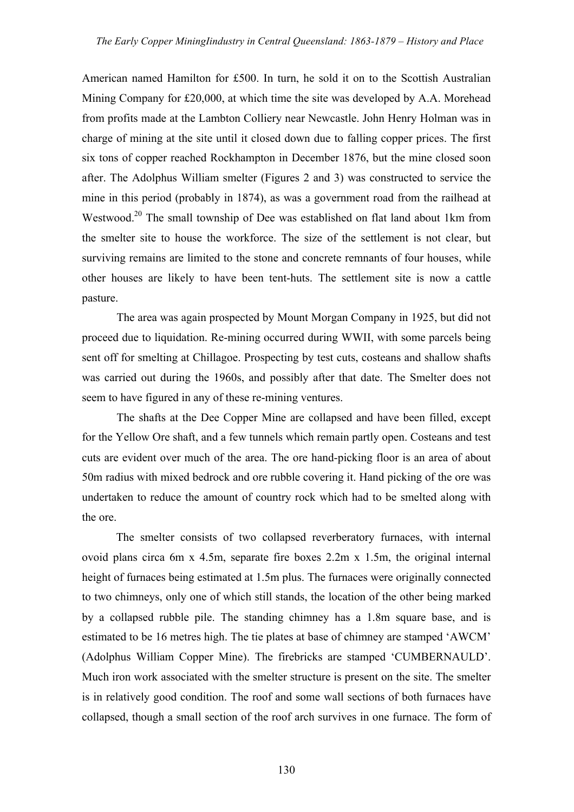American named Hamilton for £500. In turn, he sold it on to the Scottish Australian Mining Company for £20,000, at which time the site was developed by A.A. Morehead from profits made at the Lambton Colliery near Newcastle. John Henry Holman was in charge of mining at the site until it closed down due to falling copper prices. The first six tons of copper reached Rockhampton in December 1876, but the mine closed soon after. The Adolphus William smelter (Figures 2 and 3) was constructed to service the mine in this period (probably in 1874), as was a government road from the railhead at Westwood.<sup>20</sup> The small township of Dee was established on flat land about 1km from the smelter site to house the workforce. The size of the settlement is not clear, but surviving remains are limited to the stone and concrete remnants of four houses, while other houses are likely to have been tent-huts. The settlement site is now a cattle pasture.

The area was again prospected by Mount Morgan Company in 1925, but did not proceed due to liquidation. Re-mining occurred during WWII, with some parcels being sent off for smelting at Chillagoe. Prospecting by test cuts, costeans and shallow shafts was carried out during the 1960s, and possibly after that date. The Smelter does not seem to have figured in any of these re-mining ventures.

The shafts at the Dee Copper Mine are collapsed and have been filled, except for the Yellow Ore shaft, and a few tunnels which remain partly open. Costeans and test cuts are evident over much of the area. The ore hand-picking floor is an area of about 50m radius with mixed bedrock and ore rubble covering it. Hand picking of the ore was undertaken to reduce the amount of country rock which had to be smelted along with the ore.

The smelter consists of two collapsed reverberatory furnaces, with internal ovoid plans circa 6m x 4.5m, separate fire boxes 2.2m x 1.5m, the original internal height of furnaces being estimated at 1.5m plus. The furnaces were originally connected to two chimneys, only one of which still stands, the location of the other being marked by a collapsed rubble pile. The standing chimney has a 1.8m square base, and is estimated to be 16 metres high. The tie plates at base of chimney are stamped 'AWCM' (Adolphus William Copper Mine). The firebricks are stamped 'CUMBERNAULD'. Much iron work associated with the smelter structure is present on the site. The smelter is in relatively good condition. The roof and some wall sections of both furnaces have collapsed, though a small section of the roof arch survives in one furnace. The form of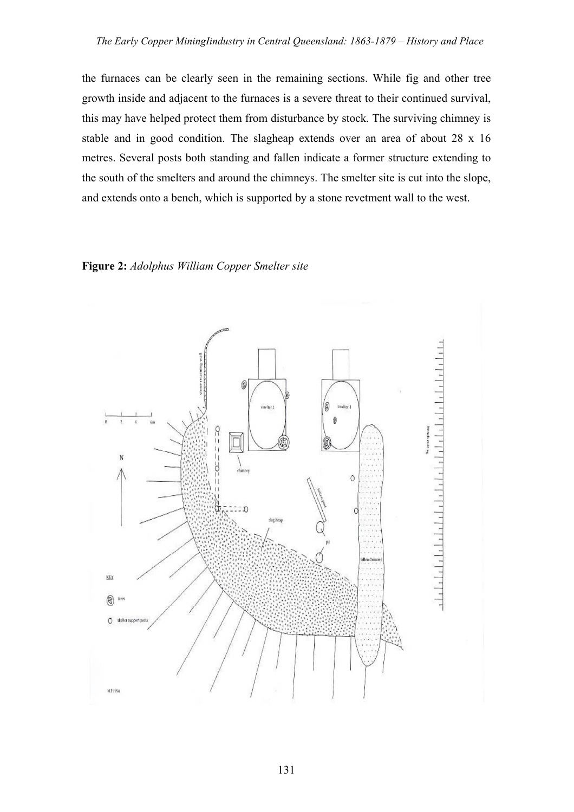the furnaces can be clearly seen in the remaining sections. While fig and other tree growth inside and adjacent to the furnaces is a severe threat to their continued survival, this may have helped protect them from disturbance by stock. The surviving chimney is stable and in good condition. The slagheap extends over an area of about 28 x 16 metres. Several posts both standing and fallen indicate a former structure extending to the south of the smelters and around the chimneys. The smelter site is cut into the slope, and extends onto a bench, which is supported by a stone revetment wall to the west.

### **Figure 2:** *Adolphus William Copper Smelter site*

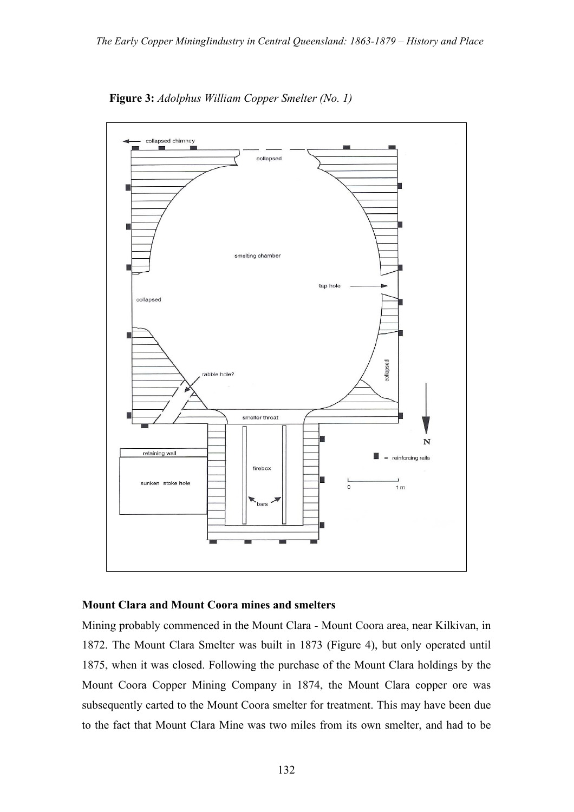

**Figure 3:** *Adolphus William Copper Smelter (No. 1)*

#### **Mount Clara and Mount Coora mines and smelters**

Mining probably commenced in the Mount Clara - Mount Coora area, near Kilkivan, in 1872. The Mount Clara Smelter was built in 1873 (Figure 4), but only operated until 1875, when it was closed. Following the purchase of the Mount Clara holdings by the Mount Coora Copper Mining Company in 1874, the Mount Clara copper ore was subsequently carted to the Mount Coora smelter for treatment. This may have been due to the fact that Mount Clara Mine was two miles from its own smelter, and had to be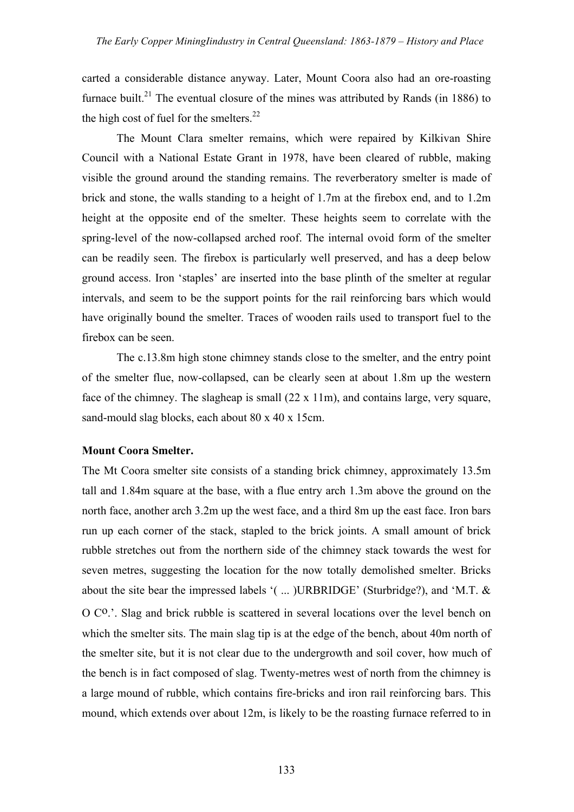carted a considerable distance anyway. Later, Mount Coora also had an ore-roasting furnace built.<sup>21</sup> The eventual closure of the mines was attributed by Rands (in 1886) to the high cost of fuel for the smelters.<sup>22</sup>

The Mount Clara smelter remains, which were repaired by Kilkivan Shire Council with a National Estate Grant in 1978, have been cleared of rubble, making visible the ground around the standing remains. The reverberatory smelter is made of brick and stone, the walls standing to a height of 1.7m at the firebox end, and to 1.2m height at the opposite end of the smelter. These heights seem to correlate with the spring-level of the now-collapsed arched roof. The internal ovoid form of the smelter can be readily seen. The firebox is particularly well preserved, and has a deep below ground access. Iron 'staples' are inserted into the base plinth of the smelter at regular intervals, and seem to be the support points for the rail reinforcing bars which would have originally bound the smelter. Traces of wooden rails used to transport fuel to the firebox can be seen.

The c.13.8m high stone chimney stands close to the smelter, and the entry point of the smelter flue, now-collapsed, can be clearly seen at about 1.8m up the western face of the chimney. The slagheap is small  $(22 \times 11 \text{ m})$ , and contains large, very square, sand-mould slag blocks, each about 80 x 40 x 15cm.

## **Mount Coora Smelter.**

The Mt Coora smelter site consists of a standing brick chimney, approximately 13.5m tall and 1.84m square at the base, with a flue entry arch 1.3m above the ground on the north face, another arch 3.2m up the west face, and a third 8m up the east face. Iron bars run up each corner of the stack, stapled to the brick joints. A small amount of brick rubble stretches out from the northern side of the chimney stack towards the west for seven metres, suggesting the location for the now totally demolished smelter. Bricks about the site bear the impressed labels '( ... )URBRIDGE' (Sturbridge?), and 'M.T. & O C<sup>o</sup>.'. Slag and brick rubble is scattered in several locations over the level bench on which the smelter sits. The main slag tip is at the edge of the bench, about 40m north of the smelter site, but it is not clear due to the undergrowth and soil cover, how much of the bench is in fact composed of slag. Twenty-metres west of north from the chimney is a large mound of rubble, which contains fire-bricks and iron rail reinforcing bars. This mound, which extends over about 12m, is likely to be the roasting furnace referred to in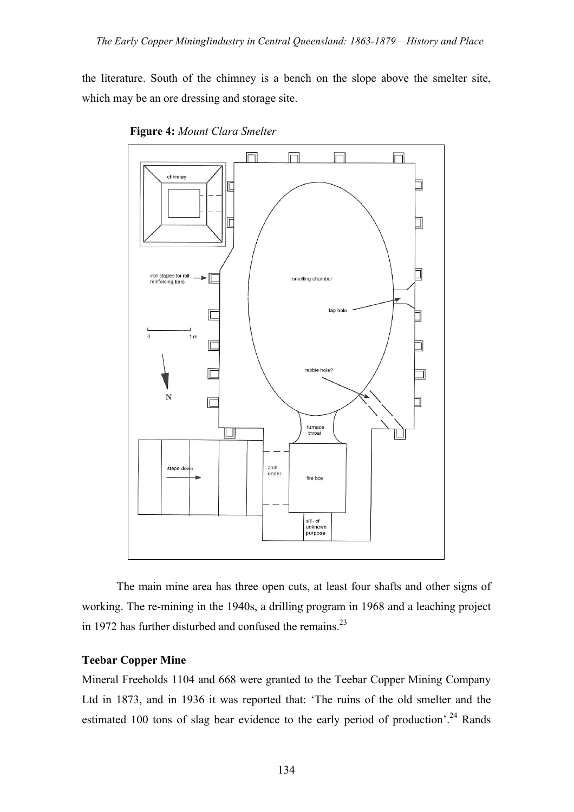the literature. South of the chimney is a bench on the slope above the smelter site, which may be an ore dressing and storage site.





The main mine area has three open cuts, at least four shafts and other signs of working. The re-mining in the 1940s, a drilling program in 1968 and a leaching project in 1972 has further disturbed and confused the remains. $^{23}$ 

# **Teebar Copper Mine**

Mineral Freeholds 1104 and 668 were granted to the Teebar Copper Mining Company Ltd in 1873, and in 1936 it was reported that: 'The ruins of the old smelter and the estimated 100 tons of slag bear evidence to the early period of production'.<sup>24</sup> Rands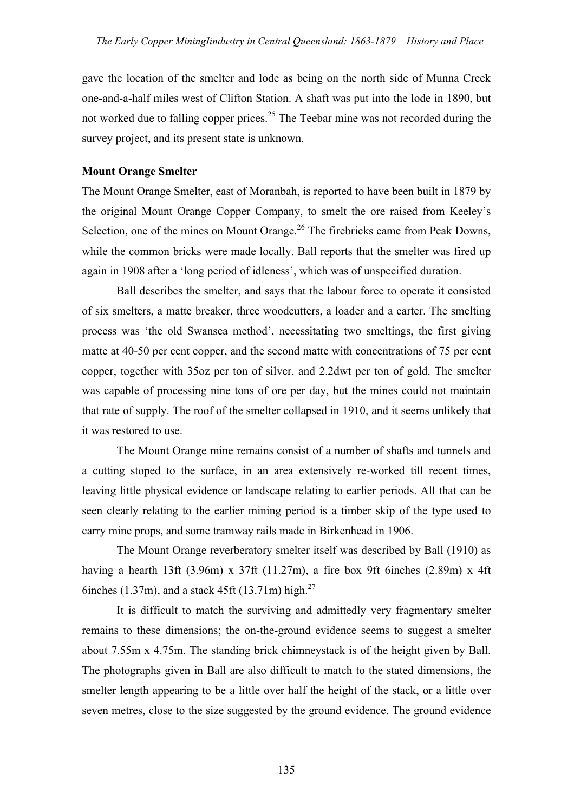gave the location of the smelter and lode as being on the north side of Munna Creek one-and-a-half miles west of Clifton Station. A shaft was put into the lode in 1890, but not worked due to falling copper prices.<sup>25</sup> The Teebar mine was not recorded during the survey project, and its present state is unknown.

## **Mount Orange Smelter**

The Mount Orange Smelter, east of Moranbah, is reported to have been built in 1879 by the original Mount Orange Copper Company, to smelt the ore raised from Keeley's Selection, one of the mines on Mount Orange.<sup>26</sup> The firebricks came from Peak Downs, while the common bricks were made locally. Ball reports that the smelter was fired up again in 1908 after a 'long period of idleness', which was of unspecified duration.

Ball describes the smelter, and says that the labour force to operate it consisted of six smelters, a matte breaker, three woodcutters, a loader and a carter. The smelting process was 'the old Swansea method', necessitating two smeltings, the first giving matte at 40-50 per cent copper, and the second matte with concentrations of 75 per cent copper, together with 35oz per ton of silver, and 2.2dwt per ton of gold. The smelter was capable of processing nine tons of ore per day, but the mines could not maintain that rate of supply. The roof of the smelter collapsed in 1910, and it seems unlikely that it was restored to use.

The Mount Orange mine remains consist of a number of shafts and tunnels and a cutting stoped to the surface, in an area extensively re-worked till recent times, leaving little physical evidence or landscape relating to earlier periods. All that can be seen clearly relating to the earlier mining period is a timber skip of the type used to carry mine props, and some tramway rails made in Birkenhead in 1906.

The Mount Orange reverberatory smelter itself was described by Ball (1910) as having a hearth 13ft  $(3.96m)$  x 37ft  $(11.27m)$ , a fire box 9ft 6inches  $(2.89m)$  x 4ft 6inches (1.37m), and a stack 45ft (13.71m) high.<sup>27</sup>

It is difficult to match the surviving and admittedly very fragmentary smelter remains to these dimensions; the on-the-ground evidence seems to suggest a smelter about 7.55m x 4.75m. The standing brick chimneystack is of the height given by Ball. The photographs given in Ball are also difficult to match to the stated dimensions, the smelter length appearing to be a little over half the height of the stack, or a little over seven metres, close to the size suggested by the ground evidence. The ground evidence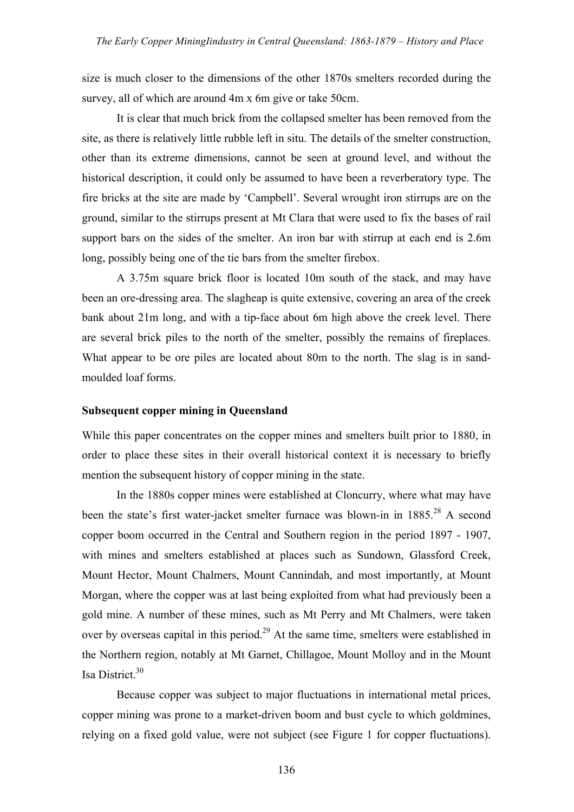size is much closer to the dimensions of the other 1870s smelters recorded during the survey, all of which are around 4m x 6m give or take 50cm.

It is clear that much brick from the collapsed smelter has been removed from the site, as there is relatively little rubble left in situ. The details of the smelter construction, other than its extreme dimensions, cannot be seen at ground level, and without the historical description, it could only be assumed to have been a reverberatory type. The fire bricks at the site are made by 'Campbell'. Several wrought iron stirrups are on the ground, similar to the stirrups present at Mt Clara that were used to fix the bases of rail support bars on the sides of the smelter. An iron bar with stirrup at each end is 2.6m long, possibly being one of the tie bars from the smelter firebox.

A 3.75m square brick floor is located 10m south of the stack, and may have been an ore-dressing area. The slagheap is quite extensive, covering an area of the creek bank about 21m long, and with a tip-face about 6m high above the creek level. There are several brick piles to the north of the smelter, possibly the remains of fireplaces. What appear to be ore piles are located about 80m to the north. The slag is in sandmoulded loaf forms.

## **Subsequent copper mining in Queensland**

While this paper concentrates on the copper mines and smelters built prior to 1880, in order to place these sites in their overall historical context it is necessary to briefly mention the subsequent history of copper mining in the state.

In the 1880s copper mines were established at Cloncurry, where what may have been the state's first water-jacket smelter furnace was blown-in in 1885.<sup>28</sup> A second copper boom occurred in the Central and Southern region in the period 1897 - 1907, with mines and smelters established at places such as Sundown, Glassford Creek, Mount Hector, Mount Chalmers, Mount Cannindah, and most importantly, at Mount Morgan, where the copper was at last being exploited from what had previously been a gold mine. A number of these mines, such as Mt Perry and Mt Chalmers, were taken over by overseas capital in this period.<sup>29</sup> At the same time, smelters were established in the Northern region, notably at Mt Garnet, Chillagoe, Mount Molloy and in the Mount Isa District.<sup>30</sup>

Because copper was subject to major fluctuations in international metal prices, copper mining was prone to a market-driven boom and bust cycle to which goldmines, relying on a fixed gold value, were not subject (see Figure 1 for copper fluctuations).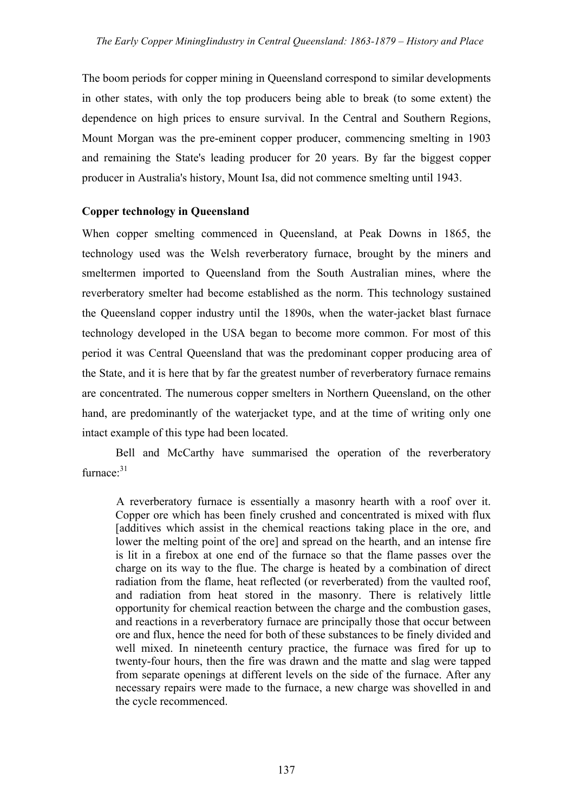The boom periods for copper mining in Queensland correspond to similar developments in other states, with only the top producers being able to break (to some extent) the dependence on high prices to ensure survival. In the Central and Southern Regions, Mount Morgan was the pre-eminent copper producer, commencing smelting in 1903 and remaining the State's leading producer for 20 years. By far the biggest copper producer in Australia's history, Mount Isa, did not commence smelting until 1943.

# **Copper technology in Queensland**

When copper smelting commenced in Queensland, at Peak Downs in 1865, the technology used was the Welsh reverberatory furnace, brought by the miners and smeltermen imported to Queensland from the South Australian mines, where the reverberatory smelter had become established as the norm. This technology sustained the Queensland copper industry until the 1890s, when the water-jacket blast furnace technology developed in the USA began to become more common. For most of this period it was Central Queensland that was the predominant copper producing area of the State, and it is here that by far the greatest number of reverberatory furnace remains are concentrated. The numerous copper smelters in Northern Queensland, on the other hand, are predominantly of the waterjacket type, and at the time of writing only one intact example of this type had been located.

Bell and McCarthy have summarised the operation of the reverberatory  $furnace<sup>.31</sup>$ 

A reverberatory furnace is essentially a masonry hearth with a roof over it. Copper ore which has been finely crushed and concentrated is mixed with flux [additives which assist in the chemical reactions taking place in the ore, and lower the melting point of the ore] and spread on the hearth, and an intense fire is lit in a firebox at one end of the furnace so that the flame passes over the charge on its way to the flue. The charge is heated by a combination of direct radiation from the flame, heat reflected (or reverberated) from the vaulted roof, and radiation from heat stored in the masonry. There is relatively little opportunity for chemical reaction between the charge and the combustion gases, and reactions in a reverberatory furnace are principally those that occur between ore and flux, hence the need for both of these substances to be finely divided and well mixed. In nineteenth century practice, the furnace was fired for up to twenty-four hours, then the fire was drawn and the matte and slag were tapped from separate openings at different levels on the side of the furnace. After any necessary repairs were made to the furnace, a new charge was shovelled in and the cycle recommenced.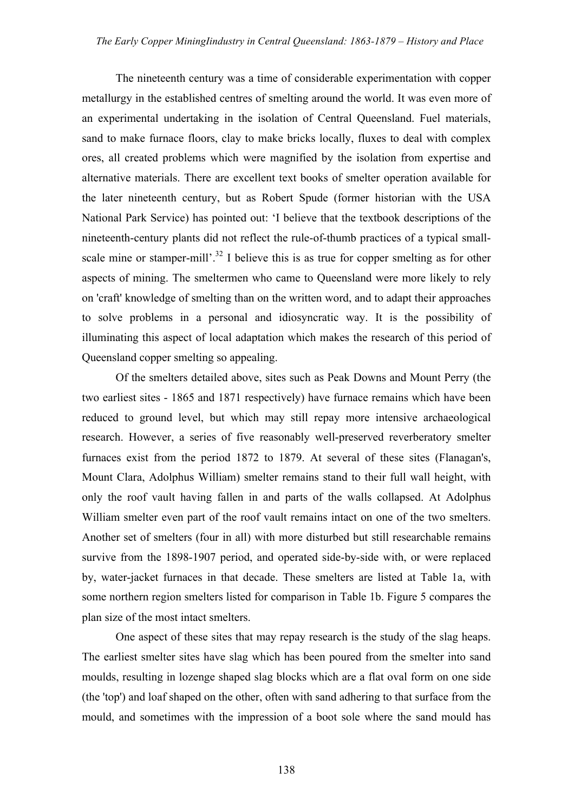The nineteenth century was a time of considerable experimentation with copper metallurgy in the established centres of smelting around the world. It was even more of an experimental undertaking in the isolation of Central Queensland. Fuel materials, sand to make furnace floors, clay to make bricks locally, fluxes to deal with complex ores, all created problems which were magnified by the isolation from expertise and alternative materials. There are excellent text books of smelter operation available for the later nineteenth century, but as Robert Spude (former historian with the USA National Park Service) has pointed out: 'I believe that the textbook descriptions of the nineteenth-century plants did not reflect the rule-of-thumb practices of a typical smallscale mine or stamper-mill'.<sup>32</sup> I believe this is as true for copper smelting as for other aspects of mining. The smeltermen who came to Queensland were more likely to rely on 'craft' knowledge of smelting than on the written word, and to adapt their approaches to solve problems in a personal and idiosyncratic way. It is the possibility of illuminating this aspect of local adaptation which makes the research of this period of Queensland copper smelting so appealing.

Of the smelters detailed above, sites such as Peak Downs and Mount Perry (the two earliest sites - 1865 and 1871 respectively) have furnace remains which have been reduced to ground level, but which may still repay more intensive archaeological research. However, a series of five reasonably well-preserved reverberatory smelter furnaces exist from the period 1872 to 1879. At several of these sites (Flanagan's, Mount Clara, Adolphus William) smelter remains stand to their full wall height, with only the roof vault having fallen in and parts of the walls collapsed. At Adolphus William smelter even part of the roof vault remains intact on one of the two smelters. Another set of smelters (four in all) with more disturbed but still researchable remains survive from the 1898-1907 period, and operated side-by-side with, or were replaced by, water-jacket furnaces in that decade. These smelters are listed at Table 1a, with some northern region smelters listed for comparison in Table 1b. Figure 5 compares the plan size of the most intact smelters.

One aspect of these sites that may repay research is the study of the slag heaps. The earliest smelter sites have slag which has been poured from the smelter into sand moulds, resulting in lozenge shaped slag blocks which are a flat oval form on one side (the 'top') and loaf shaped on the other, often with sand adhering to that surface from the mould, and sometimes with the impression of a boot sole where the sand mould has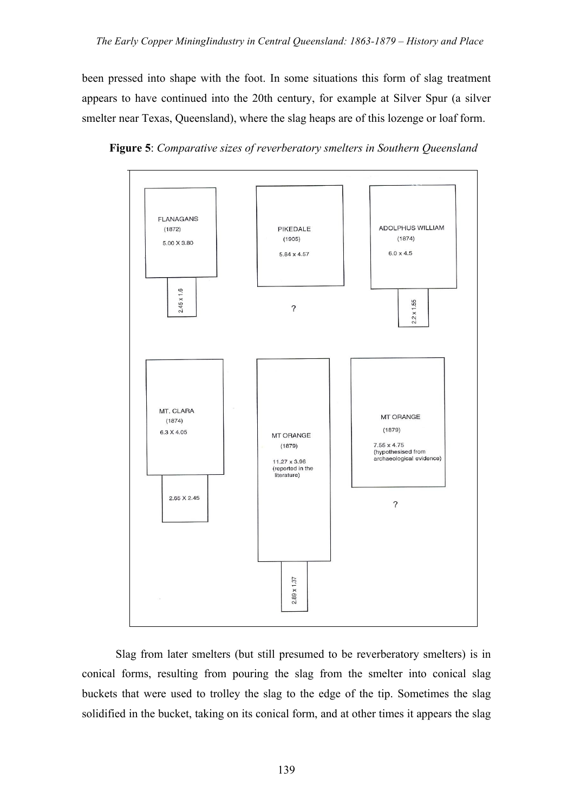been pressed into shape with the foot. In some situations this form of slag treatment appears to have continued into the 20th century, for example at Silver Spur (a silver smelter near Texas, Queensland), where the slag heaps are of this lozenge or loaf form.



**Figure 5**: *Comparative sizes of reverberatory smelters in Southern Queensland*

Slag from later smelters (but still presumed to be reverberatory smelters) is in conical forms, resulting from pouring the slag from the smelter into conical slag buckets that were used to trolley the slag to the edge of the tip. Sometimes the slag solidified in the bucket, taking on its conical form, and at other times it appears the slag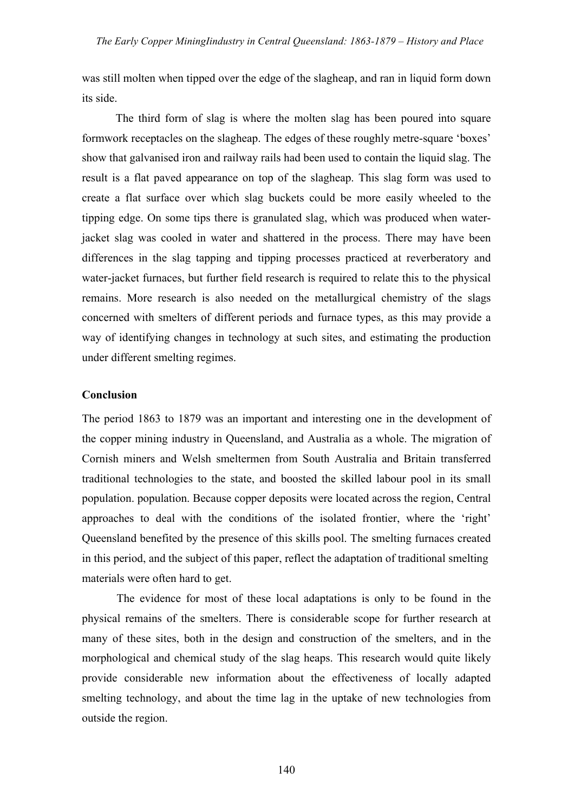was still molten when tipped over the edge of the slagheap, and ran in liquid form down its side.

The third form of slag is where the molten slag has been poured into square formwork receptacles on the slagheap. The edges of these roughly metre-square 'boxes' show that galvanised iron and railway rails had been used to contain the liquid slag. The result is a flat paved appearance on top of the slagheap. This slag form was used to create a flat surface over which slag buckets could be more easily wheeled to the tipping edge. On some tips there is granulated slag, which was produced when waterjacket slag was cooled in water and shattered in the process. There may have been differences in the slag tapping and tipping processes practiced at reverberatory and water-jacket furnaces, but further field research is required to relate this to the physical remains. More research is also needed on the metallurgical chemistry of the slags concerned with smelters of different periods and furnace types, as this may provide a way of identifying changes in technology at such sites, and estimating the production under different smelting regimes.

## **Conclusion**

The period 1863 to 1879 was an important and interesting one in the development of the copper mining industry in Queensland, and Australia as a whole. The migration of Cornish miners and Welsh smeltermen from South Australia and Britain transferred traditional technologies to the state, and boosted the skilled labour pool in its small population. population. Because copper deposits were located across the region, Central approaches to deal with the conditions of the isolated frontier, where the 'right' Queensland benefited by the presence of this skills pool. The smelting furnaces created in this period, and the subject of this paper, reflect the adaptation of traditional smelting materials were often hard to get.

The evidence for most of these local adaptations is only to be found in the physical remains of the smelters. There is considerable scope for further research at many of these sites, both in the design and construction of the smelters, and in the morphological and chemical study of the slag heaps. This research would quite likely provide considerable new information about the effectiveness of locally adapted smelting technology, and about the time lag in the uptake of new technologies from outside the region.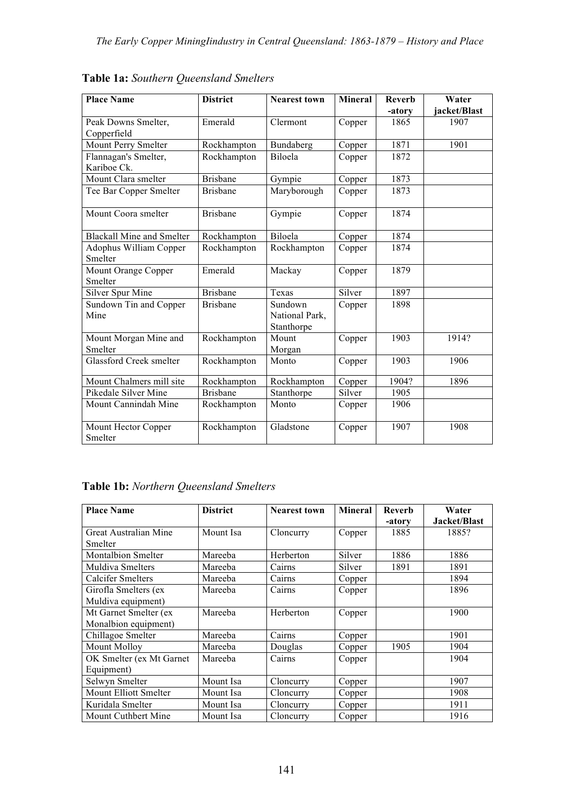| <b>Place Name</b>                   | <b>District</b> | <b>Nearest town</b>                     | <b>Mineral</b> | <b>Reverb</b><br>-atory | Water<br>iacket/Blast |
|-------------------------------------|-----------------|-----------------------------------------|----------------|-------------------------|-----------------------|
| Peak Downs Smelter,<br>Copperfield  | Emerald         | Clermont                                | Copper         | 1865                    | 1907                  |
| Mount Perry Smelter                 | Rockhampton     | Bundaberg                               | Copper         | 1871                    | 1901                  |
| Flannagan's Smelter,<br>Kariboe Ck. | Rockhampton     | Biloela                                 | Copper         | 1872                    |                       |
| Mount Clara smelter                 | <b>Brisbane</b> | Gympie                                  | Copper         | 1873                    |                       |
| Tee Bar Copper Smelter              | <b>Brisbane</b> | Maryborough                             | Copper         | 1873                    |                       |
| Mount Coora smelter                 | <b>Brisbane</b> | Gympie                                  | Copper         | 1874                    |                       |
| <b>Blackall Mine and Smelter</b>    | Rockhampton     | Biloela                                 | Copper         | 1874                    |                       |
| Adophus William Copper<br>Smelter   | Rockhampton     | Rockhampton                             | Copper         | 1874                    |                       |
| Mount Orange Copper<br>Smelter      | Emerald         | Mackay                                  | Copper         | 1879                    |                       |
| <b>Silver Spur Mine</b>             | <b>Brisbane</b> | Texas                                   | Silver         | 1897                    |                       |
| Sundown Tin and Copper<br>Mine      | <b>Brisbane</b> | Sundown<br>National Park,<br>Stanthorpe | Copper         | 1898                    |                       |
| Mount Morgan Mine and<br>Smelter    | Rockhampton     | Mount<br>Morgan                         | Copper         | 1903                    | 1914?                 |
| <b>Glassford Creek smelter</b>      | Rockhampton     | Monto                                   | Copper         | 1903                    | 1906                  |
| Mount Chalmers mill site            | Rockhampton     | Rockhampton                             | Copper         | 1904?                   | 1896                  |
| Pikedale Silver Mine                | <b>Brisbane</b> | Stanthorpe                              | Silver         | 1905                    |                       |
| Mount Cannindah Mine                | Rockhampton     | Monto                                   | Copper         | 1906                    |                       |
| Mount Hector Copper<br>Smelter      | Rockhampton     | Gladstone                               | Copper         | 1907                    | 1908                  |

**Table 1a:** *Southern Queensland Smelters*

# **Table 1b:** *Northern Queensland Smelters*

| <b>Place Name</b>         | <b>District</b> | <b>Nearest town</b> | <b>Mineral</b> | <b>Reverb</b><br>-atory | Water<br>Jacket/Blast |
|---------------------------|-----------------|---------------------|----------------|-------------------------|-----------------------|
| Great Australian Mine     | Mount Isa       | Cloncurry           | Copper         | 1885                    | 1885?                 |
| Smelter                   |                 |                     |                |                         |                       |
| <b>Montalbion Smelter</b> | Mareeba         | Herberton           | Silver         | 1886                    | 1886                  |
| Muldiva Smelters          | Mareeba         | Cairns              | Silver         | 1891                    | 1891                  |
| Calcifer Smelters         | Mareeba         | Cairns              | Copper         |                         | 1894                  |
| Girofla Smelters (ex      | Mareeba         | Cairns              | Copper         |                         | 1896                  |
| Muldiva equipment)        |                 |                     |                |                         |                       |
| Mt Garnet Smelter (ex     | Mareeba         | Herberton           | Copper         |                         | 1900                  |
| Monalbion equipment)      |                 |                     |                |                         |                       |
| Chillagoe Smelter         | Mareeba         | Cairns              | Copper         |                         | 1901                  |
| Mount Molloy              | Mareeba         | Douglas             | Copper         | 1905                    | 1904                  |
| OK Smelter (ex Mt Garnet  | Mareeba         | Cairns              | Copper         |                         | 1904                  |
| Equipment)                |                 |                     |                |                         |                       |
| Selwyn Smelter            | Mount Isa       | Cloncurry           | Copper         |                         | 1907                  |
| Mount Elliott Smelter     | Mount Isa       | Cloncurry           | Copper         |                         | 1908                  |
| Kuridala Smelter          | Mount Isa       | Cloncurry           | Copper         |                         | 1911                  |
| Mount Cuthbert Mine       | Mount Isa       | Cloncurry           | Copper         |                         | 1916                  |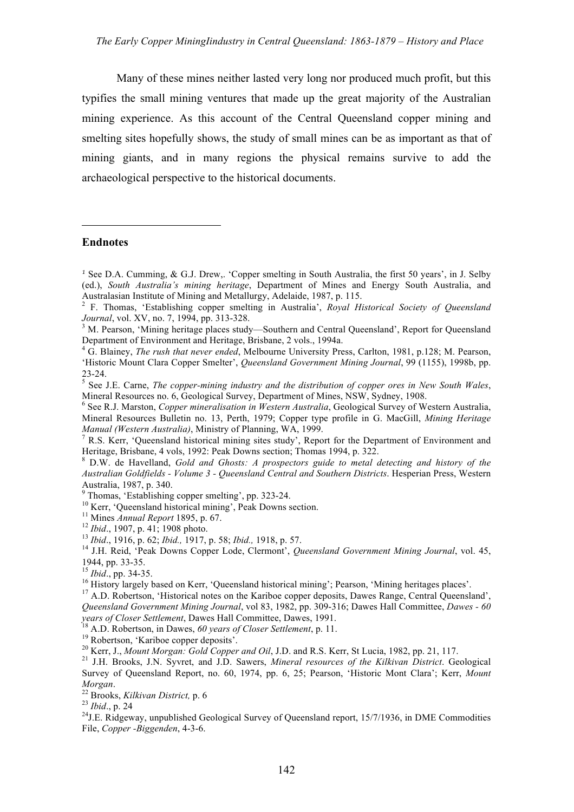Many of these mines neither lasted very long nor produced much profit, but this typifies the small mining ventures that made up the great majority of the Australian mining experience. As this account of the Central Queensland copper mining and smelting sites hopefully shows, the study of small mines can be as important as that of mining giants, and in many regions the physical remains survive to add the archaeological perspective to the historical documents.

#### **Endnotes**

 $\overline{a}$ 

Survey of Queensland Report, no. 60, 1974, pp. 6, 25; Pearson, 'Historic Mont Clara'; Kerr, *Mount*

*Morgan*. <sup>22</sup> Brooks, *Kilkivan District,* p. <sup>6</sup> <sup>23</sup> *Ibid*., p. <sup>24</sup> <sup>24</sup>

 $^{24}$ J.E. Ridgeway, unpublished Geological Survey of Queensland report, 15/7/1936, in DME Commodities File, *Copper -Biggenden*, 4-3-6.

*<sup>1</sup>* See D.A. Cumming, & G.J. Drew,. 'Copper smelting in South Australia, the first 50 years', in J. Selby (ed.), *South Australia's mining heritage*, Department of Mines and Energy South Australia, and

Australasian Institute of Mining and Metallurgy, Adelaide, 1987, p. 115.<br><sup>2</sup> F. Thomas, 'Establishing copper smelting in Australia', *Royal Historical Society of Queensland Journal*, vol. XV, no. 7, 1994, pp. 313-328.

<sup>&</sup>lt;sup>3</sup> M. Pearson, 'Mining heritage places study—Southern and Central Queensland', Report for Queensland Department of Environment and Heritage, Brisbane, <sup>2</sup> vols., 1994a. <sup>4</sup> G. Blainey, *The rush that never ended*, Melbourne University Press, Carlton, 1981, p.128; M. Pearson,

<sup>&#</sup>x27;Historic Mount Clara Copper Smelter', *Queensland Government Mining Journal*, 99 (1155), 1998b, pp.

<sup>23-24.</sup> <sup>5</sup> See J.E. Carne, *The copper-mining industry and the distribution of copper ores in New South Wales*,

<sup>&</sup>lt;sup>6</sup> See R.J. Marston, *Copper mineralisation in Western Australia*, Geological Survey of Western Australia, Mineral Resources Bulletin no. 13, Perth, 1979; Copper type profile in G. MacGill, *Mining Heritage*

<sup>&</sup>lt;sup>7</sup> R.S. Kerr, *'Oueensland historical mining sites study'*, Report for the Department of Environment and Heritage, Brisbane, 4 vols, 1992: Peak Downs section; Thomas 1994, p. 322.<br><sup>8</sup> D.W. de Havelland, *Gold and Ghosts: A prospectors guide to metal detecting and history of the* 

*Australian Goldfields - Volume 3 - Queensland Central and Southern Districts*. Hesperian Press, Western Australia, 1987, p. 340.<br>
<sup>9</sup> Thomas, 'Establishing copper smelting', pp. 323-24.<br>
<sup>10</sup> Kerr, 'Queensland historical mining', Peak Downs section.<br>
<sup>11</sup> Mines *Annual Report* 1895, p. 67.<br>
<sup>12</sup> Ibid., 1907, p. 41; 1908 phot

<sup>1944,</sup> pp. 33-35.<br><sup>15</sup> *Ibid.*, pp. 34-35.<br><sup>16</sup> History largely based on Kerr, 'Queensland historical mining'; Pearson, 'Mining heritages places'.<br><sup>17</sup> A.D. Robertson, 'Historical notes on the Kariboe copper deposits, Dawes

*Queensland Government Mining Journal*, vol 83, 1982, pp. 309-316; Dawes Hall Committee, *Dawes - 60 years of Closer Settlement*, Dawes Hall Committee, Dawes, 1991.<br><sup>18</sup> A.D. Robertson, in Dawes, 60 years of Closer Settlement, p. 11.<br><sup>19</sup> Robertson, 'Kariboe copper deposits'.<br><sup>20</sup> Kerr, J., *Mount Morgan: Gold Copper and*